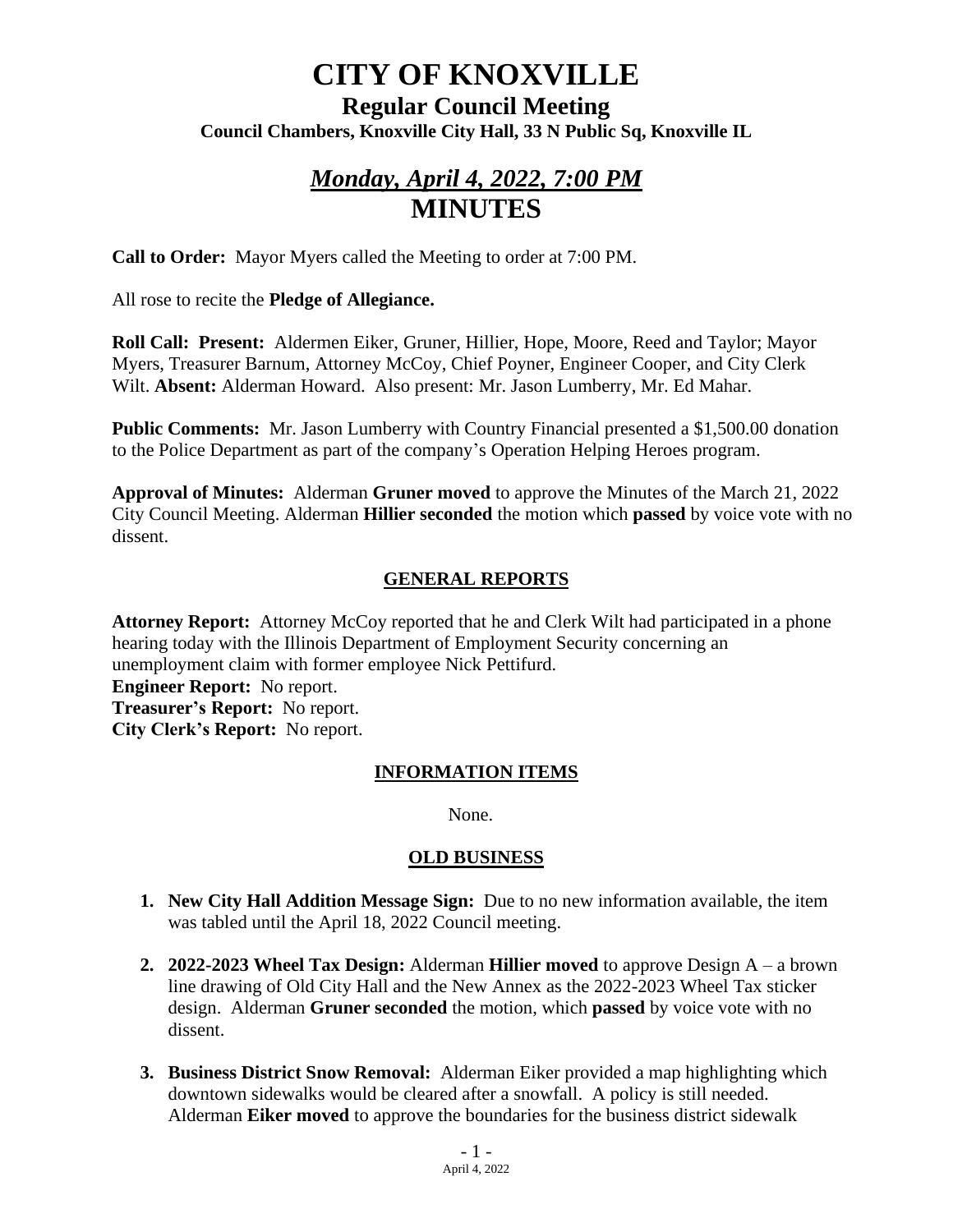# **CITY OF KNOXVILLE**

### **Regular Council Meeting Council Chambers, Knoxville City Hall, 33 N Public Sq, Knoxville IL**

## *Monday, April 4, 2022, 7:00 PM* **MINUTES**

**Call to Order:** Mayor Myers called the Meeting to order at 7:00 PM.

All rose to recite the **Pledge of Allegiance.**

**Roll Call: Present:** Aldermen Eiker, Gruner, Hillier, Hope, Moore, Reed and Taylor; Mayor Myers, Treasurer Barnum, Attorney McCoy, Chief Poyner, Engineer Cooper, and City Clerk Wilt. **Absent:** Alderman Howard. Also present: Mr. Jason Lumberry, Mr. Ed Mahar.

**Public Comments:** Mr. Jason Lumberry with Country Financial presented a \$1,500.00 donation to the Police Department as part of the company's Operation Helping Heroes program.

**Approval of Minutes:** Alderman **Gruner moved** to approve the Minutes of the March 21, 2022 City Council Meeting. Alderman **Hillier seconded** the motion which **passed** by voice vote with no dissent.

### **GENERAL REPORTS**

Attorney Report: Attorney McCoy reported that he and Clerk Wilt had participated in a phone hearing today with the Illinois Department of Employment Security concerning an unemployment claim with former employee Nick Pettifurd.

**Engineer Report:** No report.

**Treasurer's Report:** No report. **City Clerk's Report:** No report.

### **INFORMATION ITEMS**

None.

### **OLD BUSINESS**

- **1. New City Hall Addition Message Sign:** Due to no new information available, the item was tabled until the April 18, 2022 Council meeting.
- **2. 2022-2023 Wheel Tax Design:** Alderman **Hillier moved** to approve Design A a brown line drawing of Old City Hall and the New Annex as the 2022-2023 Wheel Tax sticker design. Alderman **Gruner seconded** the motion, which **passed** by voice vote with no dissent.
- **3. Business District Snow Removal:** Alderman Eiker provided a map highlighting which downtown sidewalks would be cleared after a snowfall. A policy is still needed. Alderman **Eiker moved** to approve the boundaries for the business district sidewalk

 $-1 -$ April 4, 2022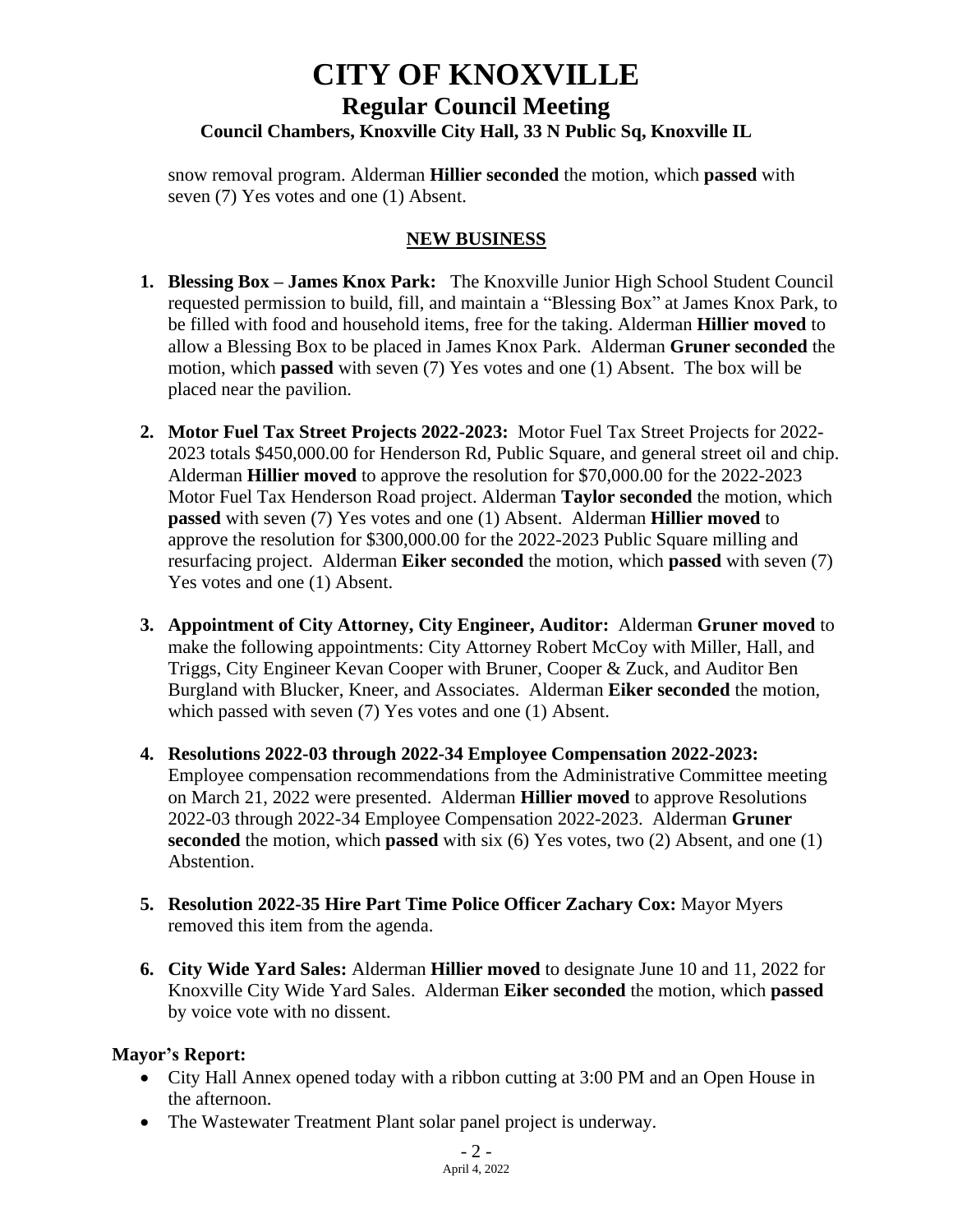### **CITY OF KNOXVILLE Regular Council Meeting Council Chambers, Knoxville City Hall, 33 N Public Sq, Knoxville IL**

snow removal program. Alderman **Hillier seconded** the motion, which **passed** with seven (7) Yes votes and one (1) Absent.

### **NEW BUSINESS**

- **1. Blessing Box – James Knox Park:** The Knoxville Junior High School Student Council requested permission to build, fill, and maintain a "Blessing Box" at James Knox Park, to be filled with food and household items, free for the taking. Alderman **Hillier moved** to allow a Blessing Box to be placed in James Knox Park. Alderman **Gruner seconded** the motion, which **passed** with seven (7) Yes votes and one (1) Absent. The box will be placed near the pavilion.
- **2. Motor Fuel Tax Street Projects 2022-2023:** Motor Fuel Tax Street Projects for 2022- 2023 totals \$450,000.00 for Henderson Rd, Public Square, and general street oil and chip. Alderman **Hillier moved** to approve the resolution for \$70,000.00 for the 2022-2023 Motor Fuel Tax Henderson Road project. Alderman **Taylor seconded** the motion, which **passed** with seven (7) Yes votes and one (1) Absent. Alderman **Hillier moved** to approve the resolution for \$300,000.00 for the 2022-2023 Public Square milling and resurfacing project. Alderman **Eiker seconded** the motion, which **passed** with seven (7) Yes votes and one (1) Absent.
- **3. Appointment of City Attorney, City Engineer, Auditor:** Alderman **Gruner moved** to make the following appointments: City Attorney Robert McCoy with Miller, Hall, and Triggs, City Engineer Kevan Cooper with Bruner, Cooper & Zuck, and Auditor Ben Burgland with Blucker, Kneer, and Associates. Alderman **Eiker seconded** the motion, which passed with seven (7) Yes votes and one (1) Absent.
- **4. Resolutions 2022-03 through 2022-34 Employee Compensation 2022-2023:** Employee compensation recommendations from the Administrative Committee meeting on March 21, 2022 were presented. Alderman **Hillier moved** to approve Resolutions 2022-03 through 2022-34 Employee Compensation 2022-2023. Alderman **Gruner seconded** the motion, which **passed** with six (6) Yes votes, two (2) Absent, and one (1) Abstention.
- **5. Resolution 2022-35 Hire Part Time Police Officer Zachary Cox:** Mayor Myers removed this item from the agenda.
- **6. City Wide Yard Sales:** Alderman **Hillier moved** to designate June 10 and 11, 2022 for Knoxville City Wide Yard Sales. Alderman **Eiker seconded** the motion, which **passed** by voice vote with no dissent.

### **Mayor's Report:**

- City Hall Annex opened today with a ribbon cutting at 3:00 PM and an Open House in the afternoon.
- The Wastewater Treatment Plant solar panel project is underway.